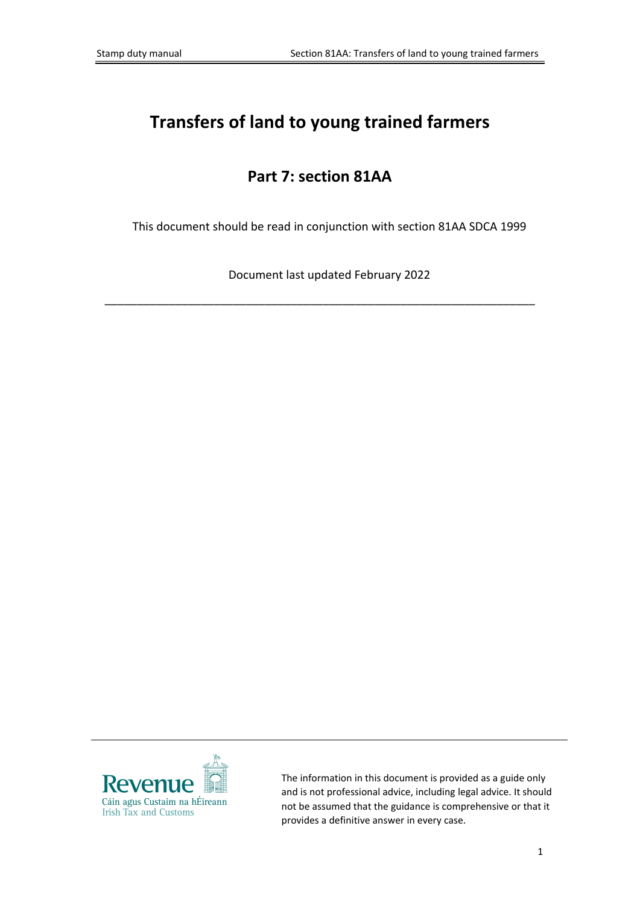# **Transfers of land to young trained farmers**

# **Part 7: section 81AA**

This document should be read in conjunction with section 81AA SDCA 1999

Document last updated February 2022

\_\_\_\_\_\_\_\_\_\_\_\_\_\_\_\_\_\_\_\_\_\_\_\_\_\_\_\_\_\_\_\_\_\_\_\_\_\_\_\_\_\_\_\_\_\_\_\_\_\_\_\_\_\_\_\_\_\_\_\_\_\_\_\_\_\_\_



The information in this document is provided as a guide only and is not professional advice, including legal advice. It should not be assumed that the guidance is comprehensive or that it provides a definitive answer in every case.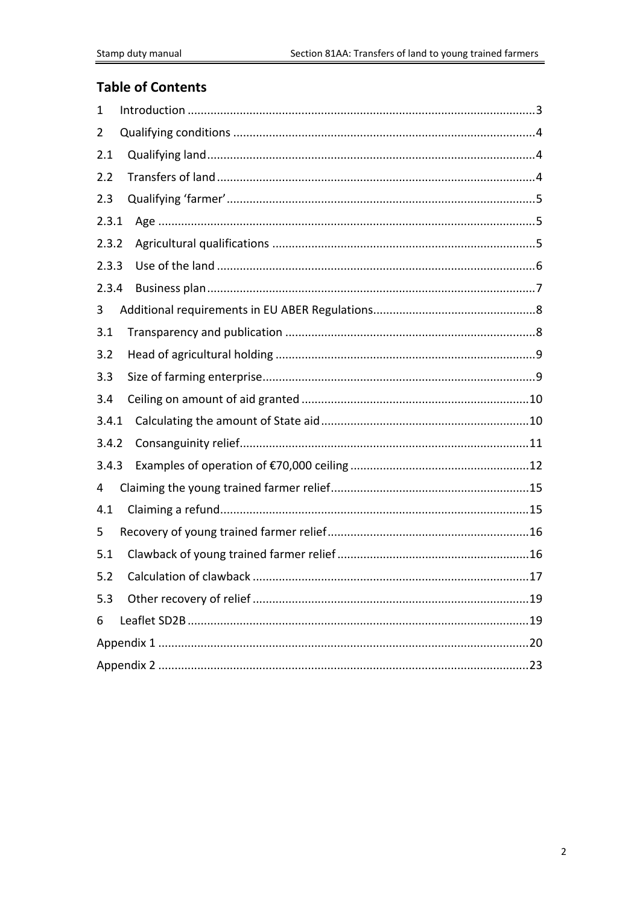## **Table of Contents**

| 1     |  |  |  |
|-------|--|--|--|
| 2     |  |  |  |
| 2.1   |  |  |  |
| 2.2   |  |  |  |
| 2.3   |  |  |  |
| 2.3.1 |  |  |  |
| 2.3.2 |  |  |  |
| 2.3.3 |  |  |  |
| 2.3.4 |  |  |  |
| 3     |  |  |  |
| 3.1   |  |  |  |
| 3.2   |  |  |  |
| 3.3   |  |  |  |
| 3.4   |  |  |  |
| 3.4.1 |  |  |  |
| 3.4.2 |  |  |  |
| 3.4.3 |  |  |  |
| 4     |  |  |  |
| 4.1   |  |  |  |
| 5     |  |  |  |
| 5.1   |  |  |  |
| 5.2   |  |  |  |
| 5.3   |  |  |  |
| 6     |  |  |  |
|       |  |  |  |
|       |  |  |  |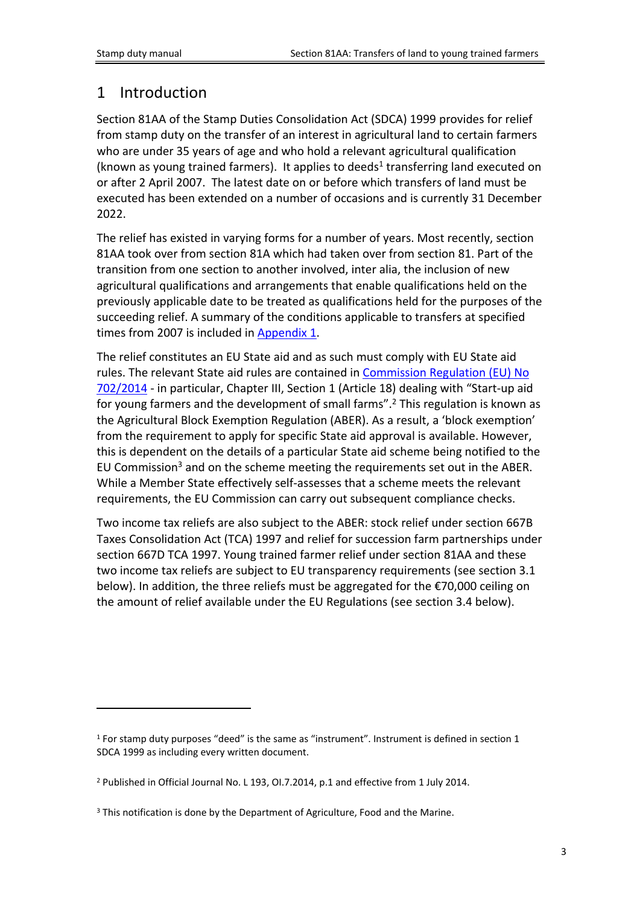## <span id="page-2-0"></span>1 Introduction

Section 81AA of the Stamp Duties Consolidation Act (SDCA) 1999 provides for relief from stamp duty on the transfer of an interest in agricultural land to certain farmers who are under 35 years of age and who hold a relevant agricultural qualification (known as young trained farmers). It applies to deeds<sup>1</sup> transferring land executed on or after 2 April 2007. The latest date on or before which transfers of land must be executed has been extended on a number of occasions and is currently 31 December 2022.

The relief has existed in varying forms for a number of years. Most recently, section 81AA took over from section 81A which had taken over from section 81. Part of the transition from one section to another involved, inter alia, the inclusion of new agricultural qualifications and arrangements that enable qualifications held on the previously applicable date to be treated as qualifications held for the purposes of the succeeding relief. A summary of the conditions applicable to transfers at specified times from 2007 is included in [Appendix](#page-18-2) [1.](#page-18-2)

The relief constitutes an EU State aid and as such must comply with EU State aid rules. The relevant State aid rules are contained in [Commission](https://eur-lex.europa.eu/legal-content/EN/TXT/PDF/?uri=CELEX:32014R0702&from=EN) [Regulation](https://eur-lex.europa.eu/legal-content/EN/TXT/PDF/?uri=CELEX:32014R0702&from=EN) [\(EU\)](https://eur-lex.europa.eu/legal-content/EN/TXT/PDF/?uri=CELEX:32014R0702&from=EN) [No](https://eur-lex.europa.eu/legal-content/EN/TXT/PDF/?uri=CELEX:32014R0702&from=EN) [702/2014](https://eur-lex.europa.eu/legal-content/EN/TXT/PDF/?uri=CELEX:32014R0702&from=EN) - in particular, Chapter III, Section 1 (Article 18) dealing with "Start-up aid for young farmers and the development of small farms".<sup>2</sup> This regulation is known as the Agricultural Block Exemption Regulation (ABER). As a result, a 'block exemption' from the requirement to apply for specific State aid approval is available. However, this is dependent on the details of a particular State aid scheme being notified to the EU Commission<sup>3</sup> and on the scheme meeting the requirements set out in the ABER. While a Member State effectively self-assesses that a scheme meets the relevant requirements, the EU Commission can carry out subsequent compliance checks.

Two income tax reliefs are also subject to the ABER: stock relief under section 667B Taxes Consolidation Act (TCA) 1997 and relief for succession farm partnerships under section 667D TCA 1997. Young trained farmer relief under section 81AA and these two income tax reliefs are subject to EU transparency requirements (see section 3.1 below). In addition, the three reliefs must be aggregated for the €70,000 ceiling on the amount of relief available under the EU Regulations (see section 3.4 below).

<sup>1</sup> For stamp duty purposes "deed" is the same as "instrument". Instrument is defined in section 1 SDCA 1999 as including every written document.

<sup>2</sup> Published in Official Journal No. L 193, OI.7.2014, p.1 and effective from 1 July 2014.

<sup>&</sup>lt;sup>3</sup> This notification is done by the Department of Agriculture, Food and the Marine.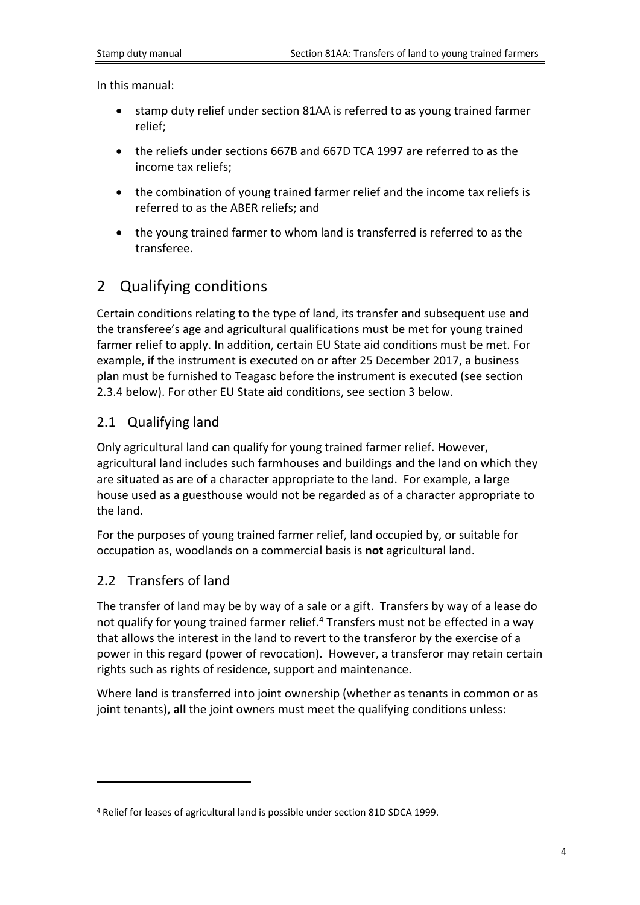In this manual:

- stamp duty relief under section 81AA is referred to as young trained farmer relief;
- the reliefs under sections 667B and 667D TCA 1997 are referred to as the income tax reliefs;
- the combination of young trained farmer relief and the income tax reliefs is referred to as the ABER reliefs; and
- the young trained farmer to whom land is transferred is referred to as the transferee.

## <span id="page-3-0"></span>2 Qualifying conditions

Certain conditions relating to the type of land, its transfer and subsequent use and the transferee's age and agricultural qualifications must be met for young trained farmer relief to apply. In addition, certain EU State aid conditions must be met. For example, if the instrument is executed on or after 25 December 2017, a business plan must be furnished to Teagasc before the instrument is executed (see section 2.3.4 below). For other EU State aid conditions, see section 3 below.

### <span id="page-3-1"></span>2.1 Qualifying land

Only agricultural land can qualify for young trained farmer relief. However, agricultural land includes such farmhouses and buildings and the land on which they are situated as are of a character appropriate to the land. For example, a large house used as a guesthouse would not be regarded as of a character appropriate to the land.

For the purposes of young trained farmer relief, land occupied by, or suitable for occupation as, woodlands on a commercial basis is **not** agricultural land.

### <span id="page-3-2"></span>2.2 Transfers of land

The transfer of land may be by way of a sale or a gift. Transfers by way of a lease do not qualify for young trained farmer relief.<sup>4</sup> Transfers must not be effected in a way that allows the interest in the land to revert to the transferor by the exercise of a power in this regard (power of revocation). However, a transferor may retain certain rights such as rights of residence, support and maintenance.

Where land is transferred into joint ownership (whether as tenants in common or as joint tenants), **all** the joint owners must meet the qualifying conditions unless:

<sup>4</sup> Relief for leases of agricultural land is possible under section 81D SDCA 1999.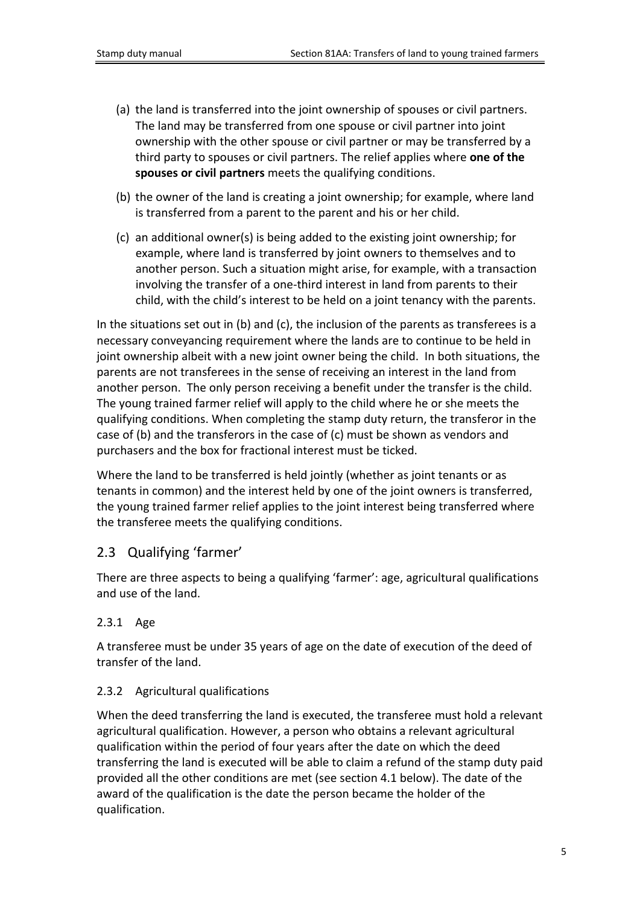- (a) the land is transferred into the joint ownership of spouses or civil partners. The land may be transferred from one spouse or civil partner into joint ownership with the other spouse or civil partner or may be transferred by a third party to spouses or civil partners. The relief applies where **one of the spouses or civil partners** meets the qualifying conditions.
- (b) the owner of the land is creating a joint ownership; for example, where land is transferred from a parent to the parent and his or her child.
- (c) an additional owner(s) is being added to the existing joint ownership; for example, where land is transferred by joint owners to themselves and to another person. Such a situation might arise, for example, with a transaction involving the transfer of a one-third interest in land from parents to their child, with the child's interest to be held on a joint tenancy with the parents.

In the situations set out in (b) and (c), the inclusion of the parents as transferees is a necessary conveyancing requirement where the lands are to continue to be held in joint ownership albeit with a new joint owner being the child. In both situations, the parents are not transferees in the sense of receiving an interest in the land from another person. The only person receiving a benefit under the transfer is the child. The young trained farmer relief will apply to the child where he or she meets the qualifying conditions. When completing the stamp duty return, the transferor in the case of (b) and the transferors in the case of (c) must be shown as vendors and purchasers and the box for fractional interest must be ticked.

Where the land to be transferred is held jointly (whether as joint tenants or as tenants in common) and the interest held by one of the joint owners is transferred, the young trained farmer relief applies to the joint interest being transferred where the transferee meets the qualifying conditions.

## <span id="page-4-0"></span>2.3 Qualifying 'farmer'

There are three aspects to being a qualifying 'farmer': age, agricultural qualifications and use of the land.

### <span id="page-4-1"></span>2.3.1 Age

A transferee must be under 35 years of age on the date of execution of the deed of transfer of the land.

### <span id="page-4-2"></span>2.3.2 Agricultural qualifications

When the deed transferring the land is executed, the transferee must hold a relevant agricultural qualification. However, a person who obtains a relevant agricultural qualification within the period of four years after the date on which the deed transferring the land is executed will be able to claim a refund of the stamp duty paid provided all the other conditions are met (see section 4.1 below). The date of the award of the qualification is the date the person became the holder of the qualification.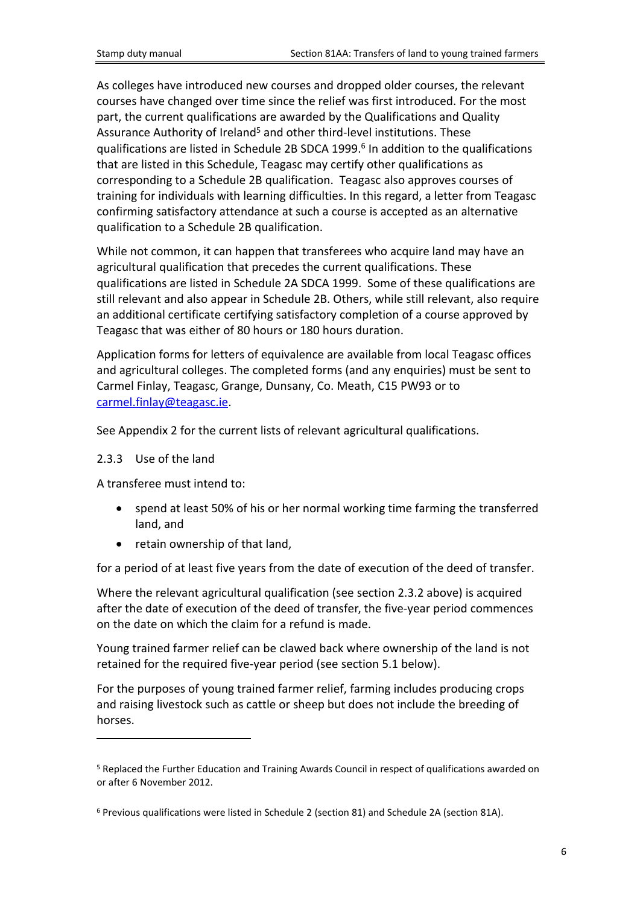As colleges have introduced new courses and dropped older courses, the relevant courses have changed over time since the relief was first introduced. For the most part, the current qualifications are awarded by the Qualifications and Quality Assurance Authority of Ireland<sup>5</sup> and other third-level institutions. These qualifications are listed in Schedule 2B SDCA 1999.<sup>6</sup> In addition to the qualifications that are listed in this Schedule, Teagasc may certify other qualifications as corresponding to a Schedule 2B qualification. Teagasc also approves courses of training for individuals with learning difficulties. In this regard, a letter from Teagasc confirming satisfactory attendance at such a course is accepted as an alternative qualification to a Schedule 2B qualification.

While not common, it can happen that transferees who acquire land may have an agricultural qualification that precedes the current qualifications. These qualifications are listed in Schedule 2A SDCA 1999. Some of these qualifications are still relevant and also appear in Schedule 2B. Others, while still relevant, also require an additional certificate certifying satisfactory completion of a course approved by Teagasc that was either of 80 hours or 180 hours duration.

Application forms for letters of equivalence are available from local Teagasc offices and agricultural colleges. The completed forms (and any enquiries) must be sent to Carmel Finlay, Teagasc, Grange, Dunsany, Co. Meath, C15 PW93 or to [carmel.finlay@teagasc.ie](mailto:carmel.finlay@teagasc.ie).

See Appendix 2 for the current lists of relevant agricultural qualifications.

#### <span id="page-5-0"></span>2.3.3 Use of the land

A transferee must intend to:

- spend at least 50% of his or her normal working time farming the transferred land, and
- retain ownership of that land,

for a period of at least five years from the date of execution of the deed of transfer.

Where the relevant agricultural qualification (see section 2.3.2 above) is acquired after the date of execution of the deed of transfer, the five-year period commences on the date on which the claim for a refund is made.

Young trained farmer relief can be clawed back where ownership of the land is not retained for the required five-year period (see section 5.1 below).

For the purposes of young trained farmer relief, farming includes producing crops and raising livestock such as cattle or sheep but does not include the breeding of horses.

<sup>5</sup> Replaced the Further Education and Training Awards Council in respect of qualifications awarded on or after 6 November 2012.

<sup>6</sup> Previous qualifications were listed in Schedule 2 (section 81) and Schedule 2A (section 81A).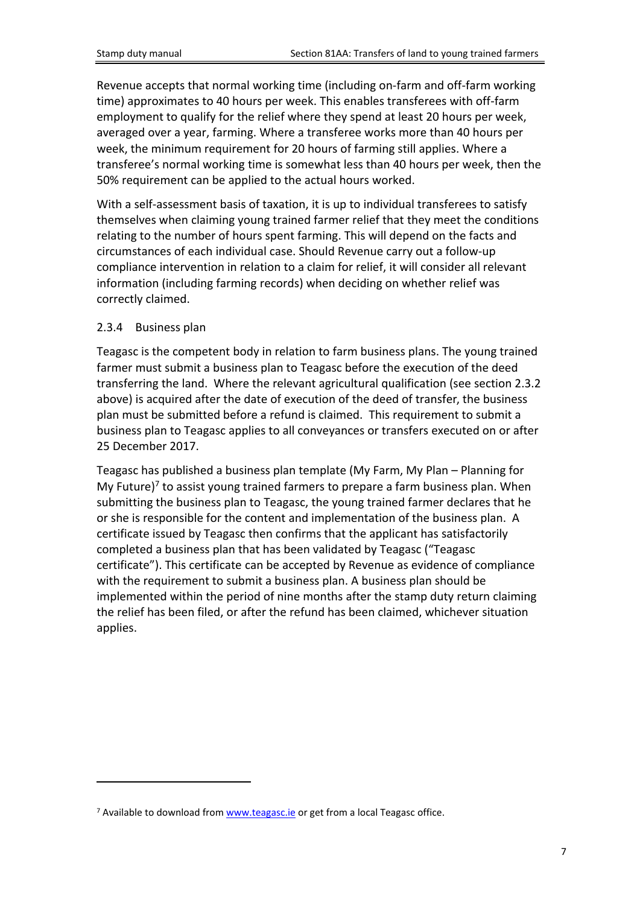Revenue accepts that normal working time (including on-farm and off-farm working time) approximates to 40 hours per week. This enables transferees with off-farm employment to qualify for the relief where they spend at least 20 hours per week, averaged over a year, farming. Where a transferee works more than 40 hours per week, the minimum requirement for 20 hours of farming still applies. Where a transferee's normal working time is somewhat less than 40 hours per week, then the 50% requirement can be applied to the actual hours worked.

With a self-assessment basis of taxation, it is up to individual transferees to satisfy themselves when claiming young trained farmer relief that they meet the conditions relating to the number of hours spent farming. This will depend on the facts and circumstances of each individual case. Should Revenue carry out a follow-up compliance intervention in relation to a claim for relief, it will consider all relevant information (including farming records) when deciding on whether relief was correctly claimed.

### <span id="page-6-0"></span>2.3.4 Business plan

Teagasc is the competent body in relation to farm business plans. The young trained farmer must submit a business plan to Teagasc before the execution of the deed transferring the land. Where the relevant agricultural qualification (see section 2.3.2 above) is acquired after the date of execution of the deed of transfer, the business plan must be submitted before a refund is claimed. This requirement to submit a business plan to Teagasc applies to all conveyances or transfers executed on or after 25 December 2017.

Teagasc has published a business plan template (My Farm, My Plan – Planning for My Future)<sup>7</sup> to assist young trained farmers to prepare a farm business plan. When submitting the business plan to Teagasc, the young trained farmer declares that he or she is responsible for the content and implementation of the business plan. A certificate issued by Teagasc then confirms that the applicant has satisfactorily completed a business plan that has been validated by Teagasc ("Teagasc certificate"). This certificate can be accepted by Revenue as evidence of compliance with the requirement to submit a business plan. A business plan should be implemented within the period of nine months after the stamp duty return claiming the relief has been filed, or after the refund has been claimed, whichever situation applies.

<sup>&</sup>lt;sup>7</sup> Available to download from [www.teagasc.ie](http://www.teagasc.ie) or get from a local Teagasc office.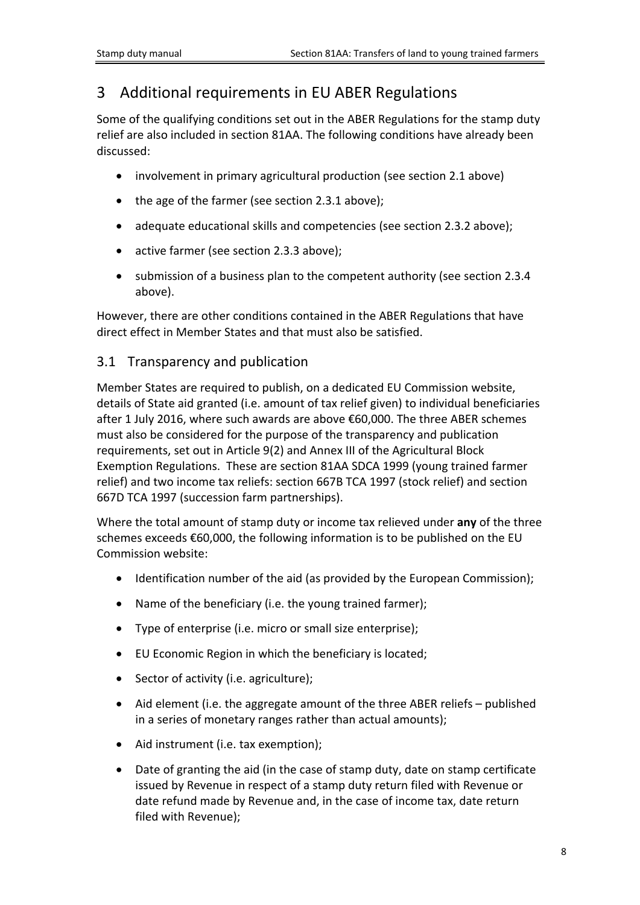# <span id="page-7-0"></span>3 Additional requirements in EU ABER Regulations

Some of the qualifying conditions set out in the ABER Regulations for the stamp duty relief are also included in section 81AA. The following conditions have already been discussed:

- involvement in primary agricultural production (see section 2.1 above)
- the age of the farmer (see section 2.3.1 above);
- adequate educational skills and competencies (see section 2.3.2 above);
- active farmer (see section 2.3.3 above);
- submission of a business plan to the competent authority (see section 2.3.4 above).

However, there are other conditions contained in the ABER Regulations that have direct effect in Member States and that must also be satisfied.

### <span id="page-7-1"></span>3.1 Transparency and publication

Member States are required to publish, on a dedicated EU Commission website, details of State aid granted (i.e. amount of tax relief given) to individual beneficiaries after 1 July 2016, where such awards are above €60,000. The three ABER schemes must also be considered for the purpose of the transparency and publication requirements, set out in Article 9(2) and Annex III of the Agricultural Block Exemption Regulations. These are section 81AA SDCA 1999 (young trained farmer relief) and two income tax reliefs: section 667B TCA 1997 (stock relief) and section 667D TCA 1997 (succession farm partnerships).

Where the total amount of stamp duty or income tax relieved under **any** of the three schemes exceeds €60,000, the following information is to be published on the EU Commission website:

- Identification number of the aid (as provided by the European Commission);
- Name of the beneficiary (i.e. the young trained farmer);
- Type of enterprise (i.e. micro or small size enterprise);
- EU Economic Region in which the beneficiary is located;
- Sector of activity (i.e. agriculture);
- Aid element (i.e. the aggregate amount of the three ABER reliefs published in a series of monetary ranges rather than actual amounts);
- Aid instrument (i.e. tax exemption);
- Date of granting the aid (in the case of stamp duty, date on stamp certificate issued by Revenue in respect of a stamp duty return filed with Revenue or date refund made by Revenue and, in the case of income tax, date return filed with Revenue);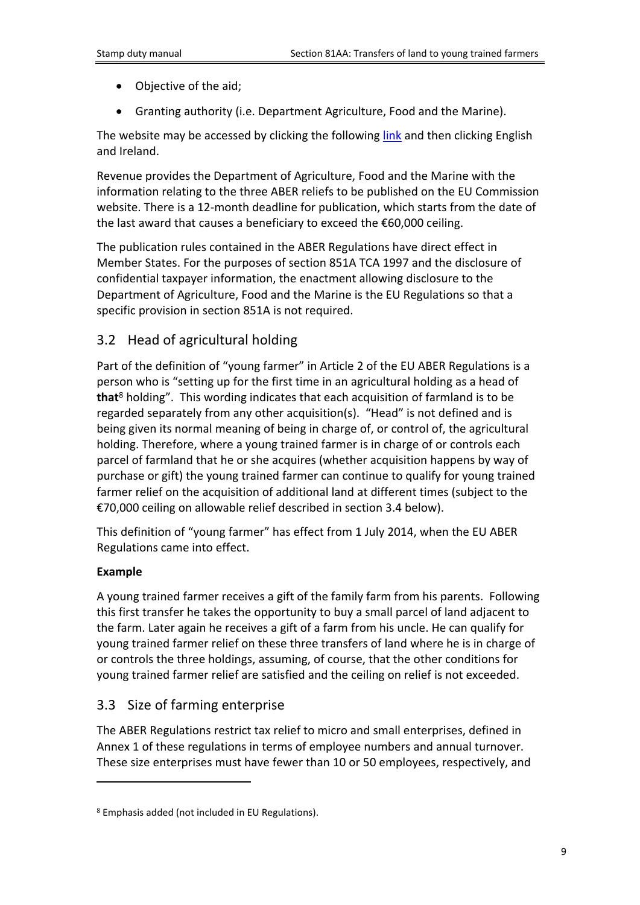- Objective of the aid;
- Granting authority (i.e. Department Agriculture, Food and the Marine).

The website may be accessed by clicking the following [link](https://webgate.ec.europa.eu/competition/transparency/public/search) and then clicking English and Ireland.

Revenue provides the Department of Agriculture, Food and the Marine with the information relating to the three ABER reliefs to be published on the EU Commission website. There is a 12-month deadline for publication, which starts from the date of the last award that causes a beneficiary to exceed the €60,000 ceiling.

The publication rules contained in the ABER Regulations have direct effect in Member States. For the purposes of section 851A TCA 1997 and the disclosure of confidential taxpayer information, the enactment allowing disclosure to the Department of Agriculture, Food and the Marine is the EU Regulations so that a specific provision in section 851A is not required.

### <span id="page-8-0"></span>3.2 Head of agricultural holding

Part of the definition of "young farmer" in Article 2 of the EU ABER Regulations is a person who is "setting up for the first time in an agricultural holding as a head of **that**<sup>8</sup> holding". This wording indicates that each acquisition of farmland is to be regarded separately from any other acquisition(s). "Head" is not defined and is being given its normal meaning of being in charge of, or control of, the agricultural holding. Therefore, where a young trained farmer is in charge of or controls each parcel of farmland that he or she acquires (whether acquisition happens by way of purchase or gift) the young trained farmer can continue to qualify for young trained farmer relief on the acquisition of additional land at different times (subject to the €70,000 ceiling on allowable relief described in section 3.4 below).

This definition of "young farmer" has effect from 1 July 2014, when the EU ABER Regulations came into effect.

### **Example**

A young trained farmer receives a gift of the family farm from his parents. Following this first transfer he takes the opportunity to buy a small parcel of land adjacent to the farm. Later again he receives a gift of a farm from his uncle. He can qualify for young trained farmer relief on these three transfers of land where he is in charge of or controls the three holdings, assuming, of course, that the other conditions for young trained farmer relief are satisfied and the ceiling on relief is not exceeded.

## <span id="page-8-1"></span>3.3 Size of farming enterprise

The ABER Regulations restrict tax relief to micro and small enterprises, defined in Annex 1 of these regulations in terms of employee numbers and annual turnover. These size enterprises must have fewer than 10 or 50 employees, respectively, and

<sup>8</sup> Emphasis added (not included in EU Regulations).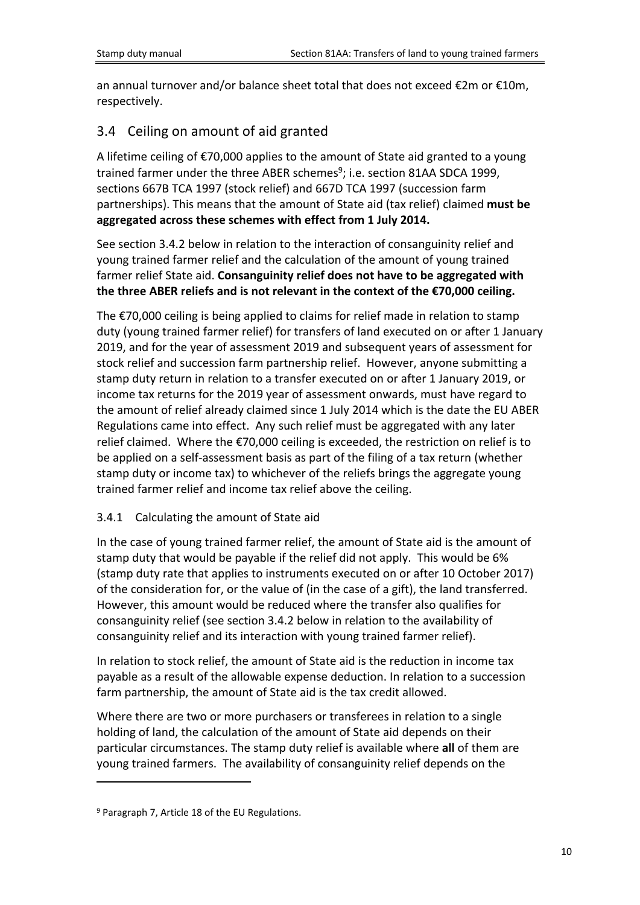an annual turnover and/or balance sheet total that does not exceed €2m or €10m, respectively.

## <span id="page-9-0"></span>3.4 Ceiling on amount of aid granted

A lifetime ceiling of €70,000 applies to the amount of State aid granted to a young trained farmer under the three ABER schemes<sup>9</sup>; i.e. section 81AA SDCA 1999, sections 667B TCA 1997 (stock relief) and 667D TCA 1997 (succession farm partnerships). This means that the amount of State aid (tax relief) claimed **must be aggregated across these schemes with effect from 1 July 2014.**

See section 3.4.2 below in relation to the interaction of consanguinity relief and young trained farmer relief and the calculation of the amount of young trained farmer relief State aid. **Consanguinity relief does not have to be aggregated with the three ABER reliefs and is not relevant in the context of the €70,000 ceiling.**

The €70,000 ceiling is being applied to claims for relief made in relation to stamp duty (young trained farmer relief) for transfers of land executed on or after 1 January 2019, and for the year of assessment 2019 and subsequent years of assessment for stock relief and succession farm partnership relief. However, anyone submitting a stamp duty return in relation to a transfer executed on or after 1 January 2019, or income tax returns for the 2019 year of assessment onwards, must have regard to the amount of relief already claimed since 1 July 2014 which is the date the EU ABER Regulations came into effect. Any such relief must be aggregated with any later relief claimed. Where the €70,000 ceiling is exceeded, the restriction on relief is to be applied on a self-assessment basis as part of the filing of a tax return (whether stamp duty or income tax) to whichever of the reliefs brings the aggregate young trained farmer relief and income tax relief above the ceiling.

### <span id="page-9-1"></span>3.4.1 Calculating the amount of State aid

In the case of young trained farmer relief, the amount of State aid is the amount of stamp duty that would be payable if the relief did not apply. This would be 6% (stamp duty rate that applies to instruments executed on or after 10 October 2017) of the consideration for, or the value of (in the case of a gift), the land transferred. However, this amount would be reduced where the transfer also qualifies for consanguinity relief (see section 3.4.2 below in relation to the availability of consanguinity relief and its interaction with young trained farmer relief).

In relation to stock relief, the amount of State aid is the reduction in income tax payable as a result of the allowable expense deduction. In relation to a succession farm partnership, the amount of State aid is the tax credit allowed.

Where there are two or more purchasers or transferees in relation to a single holding of land, the calculation of the amount of State aid depends on their particular circumstances. The stamp duty relief is available where **all** of them are young trained farmers. The availability of consanguinity relief depends on the

<sup>&</sup>lt;sup>9</sup> Paragraph 7, Article 18 of the EU Regulations.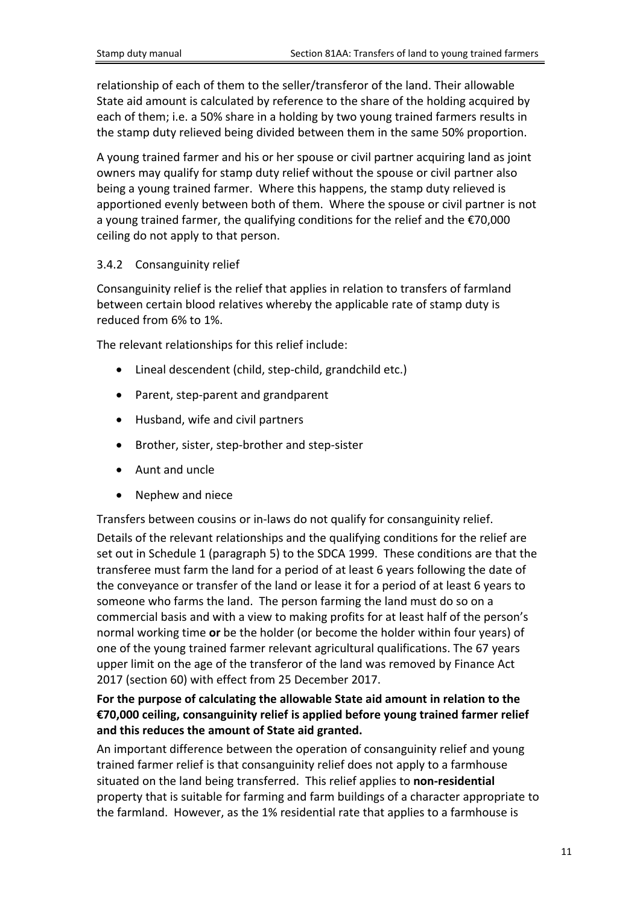relationship of each of them to the seller/transferor of the land. Their allowable State aid amount is calculated by reference to the share of the holding acquired by each of them; i.e. a 50% share in a holding by two young trained farmers results in the stamp duty relieved being divided between them in the same 50% proportion.

A young trained farmer and his or her spouse or civil partner acquiring land as joint owners may qualify for stamp duty relief without the spouse or civil partner also being a young trained farmer. Where this happens, the stamp duty relieved is apportioned evenly between both of them. Where the spouse or civil partner is not a young trained farmer, the qualifying conditions for the relief and the €70,000 ceiling do not apply to that person.

### <span id="page-10-0"></span>3.4.2 Consanguinity relief

Consanguinity relief is the relief that applies in relation to transfers of farmland between certain blood relatives whereby the applicable rate of stamp duty is reduced from 6% to 1%.

The relevant relationships for this relief include:

- Lineal descendent (child, step-child, grandchild etc.)
- Parent, step-parent and grandparent
- Husband, wife and civil partners
- Brother, sister, step-brother and step-sister
- Aunt and uncle
- Nephew and niece

Transfers between cousins or in-laws do not qualify for consanguinity relief.

Details of the relevant relationships and the qualifying conditions for the relief are set out in Schedule 1 (paragraph 5) to the SDCA 1999. These conditions are that the transferee must farm the land for a period of at least 6 years following the date of the conveyance or transfer of the land or lease it for a period of at least 6 years to someone who farms the land. The person farming the land must do so on a commercial basis and with a view to making profits for at least half of the person's normal working time **or** be the holder (or become the holder within four years) of one of the young trained farmer relevant agricultural qualifications. The 67 years upper limit on the age of the transferor of the land was removed by Finance Act 2017 (section 60) with effect from 25 December 2017.

### **For the purpose of calculating the allowable State aid amount in relation to the €70,000 ceiling, consanguinity relief is applied before young trained farmer relief and this reduces the amount of State aid granted.**

An important difference between the operation of consanguinity relief and young trained farmer relief is that consanguinity relief does not apply to a farmhouse situated on the land being transferred. This relief applies to **non-residential** property that is suitable for farming and farm buildings of a character appropriate to the farmland. However, as the 1% residential rate that applies to a farmhouse is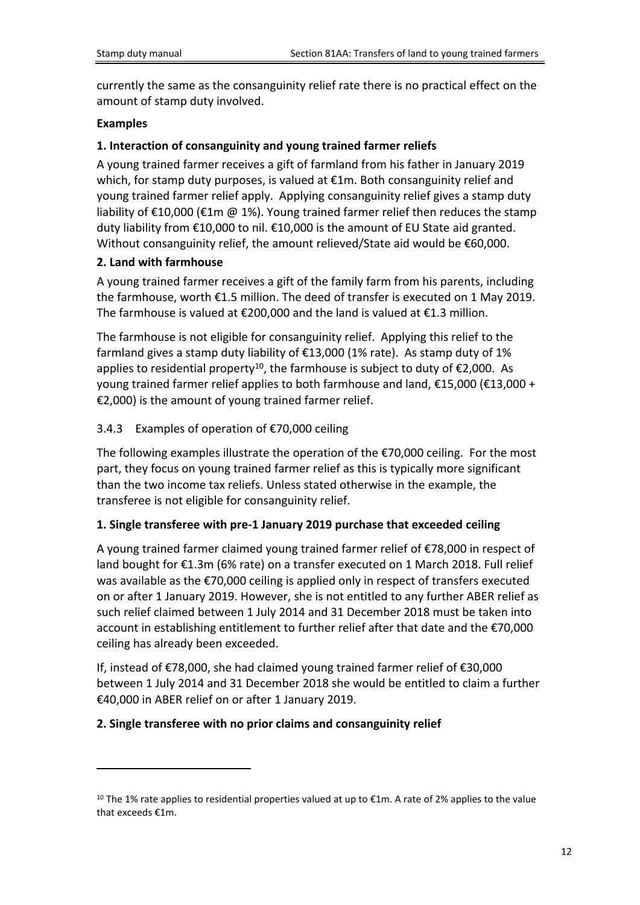currently the same as the consanguinity relief rate there is no practical effect on the amount of stamp duty involved.

### **Examples**

### **1. Interaction of consanguinity and young trained farmer reliefs**

A young trained farmer receives a gift of farmland from his father in January 2019 which, for stamp duty purposes, is valued at €1m. Both consanguinity relief and young trained farmer relief apply. Applying consanguinity relief gives a stamp duty liability of €10,000 (€1m @ 1%). Young trained farmer relief then reduces the stamp duty liability from €10,000 to nil. €10,000 is the amount of EU State aid granted. Without consanguinity relief, the amount relieved/State aid would be €60,000.

### **2. Land with farmhouse**

A young trained farmer receives a gift of the family farm from his parents, including the farmhouse, worth €1.5 million. The deed of transfer is executed on 1 May 2019. The farmhouse is valued at  $\epsilon$ 200,000 and the land is valued at  $\epsilon$ 1.3 million.

The farmhouse is not eligible for consanguinity relief. Applying this relief to the farmland gives a stamp duty liability of  $E$ 13,000 (1% rate). As stamp duty of 1% applies to residential property<sup>10</sup>, the farmhouse is subject to duty of  $E$ 2,000. As young trained farmer relief applies to both farmhouse and land, €15,000 (€13,000 + €2,000) is the amount of young trained farmer relief.

### <span id="page-11-0"></span>3.4.3 Examples of operation of €70,000 ceiling

The following examples illustrate the operation of the €70,000 ceiling. For the most part, they focus on young trained farmer relief as this is typically more significant than the two income tax reliefs. Unless stated otherwise in the example, the transferee is not eligible for consanguinity relief.

### **1. Single transferee with pre-1 January 2019 purchase that exceeded ceiling**

A young trained farmer claimed young trained farmer relief of €78,000 in respect of land bought for €1.3m (6% rate) on a transfer executed on 1 March 2018. Full relief was available as the €70,000 ceiling is applied only in respect of transfers executed on or after 1 January 2019. However, she is not entitled to any further ABER relief as such relief claimed between 1 July 2014 and 31 December 2018 must be taken into account in establishing entitlement to further relief after that date and the €70,000 ceiling has already been exceeded.

If, instead of €78,000, she had claimed young trained farmer relief of €30,000 between 1 July 2014 and 31 December 2018 she would be entitled to claim a further €40,000 in ABER relief on or after 1 January 2019.

### **2. Single transferee with no prior claims and consanguinity relief**

<sup>&</sup>lt;sup>10</sup> The 1% rate applies to residential properties valued at up to  $\epsilon$ 1m. A rate of 2% applies to the value that exceeds €1m.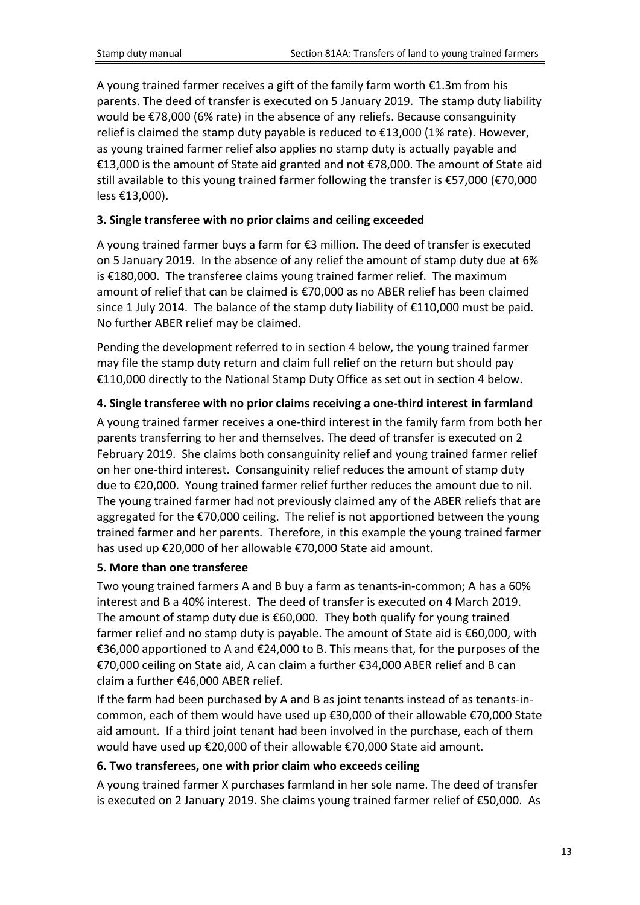A young trained farmer receives a gift of the family farm worth €1.3m from his parents. The deed of transfer is executed on 5 January 2019. The stamp duty liability would be €78,000 (6% rate) in the absence of any reliefs. Because consanguinity relief is claimed the stamp duty payable is reduced to €13,000 (1% rate). However, as young trained farmer relief also applies no stamp duty is actually payable and €13,000 is the amount of State aid granted and not €78,000. The amount of State aid still available to this young trained farmer following the transfer is €57,000 (€70,000 less €13,000).

### **3. Single transferee with no prior claims and ceiling exceeded**

A young trained farmer buys a farm for €3 million. The deed of transfer is executed on 5 January 2019. In the absence of any relief the amount of stamp duty due at 6% is €180,000. The transferee claims young trained farmer relief. The maximum amount of relief that can be claimed is €70,000 as no ABER relief has been claimed since 1 July 2014. The balance of the stamp duty liability of €110,000 must be paid. No further ABER relief may be claimed.

Pending the development referred to in section 4 below, the young trained farmer may file the stamp duty return and claim full relief on the return but should pay €110,000 directly to the National Stamp Duty Office as set out in section 4 below.

### **4. Single transferee with no prior claims receiving a one-third interest in farmland**

A young trained farmer receives a one-third interest in the family farm from both her parents transferring to her and themselves. The deed of transfer is executed on 2 February 2019. She claims both consanguinity relief and young trained farmer relief on her one-third interest. Consanguinity relief reduces the amount of stamp duty due to €20,000. Young trained farmer relief further reduces the amount due to nil. The young trained farmer had not previously claimed any of the ABER reliefs that are aggregated for the €70,000 ceiling. The relief is not apportioned between the young trained farmer and her parents. Therefore, in this example the young trained farmer has used up €20,000 of her allowable €70,000 State aid amount.

### **5. More than one transferee**

Two young trained farmers A and B buy a farm as tenants-in-common; A has a 60% interest and B a 40% interest. The deed of transfer is executed on 4 March 2019. The amount of stamp duty due is €60,000. They both qualify for young trained farmer relief and no stamp duty is payable. The amount of State aid is €60,000, with €36,000 apportioned to A and €24,000 to B. This means that, for the purposes of the €70,000 ceiling on State aid, A can claim a further €34,000 ABER relief and B can claim a further €46,000 ABER relief.

If the farm had been purchased by A and B as joint tenants instead of as tenants-incommon, each of them would have used up €30,000 of their allowable €70,000 State aid amount. If a third joint tenant had been involved in the purchase, each of them would have used up €20,000 of their allowable €70,000 State aid amount.

### **6. Two transferees, one with prior claim who exceeds ceiling**

A young trained farmer X purchases farmland in her sole name. The deed of transfer is executed on 2 January 2019. She claims young trained farmer relief of €50,000. As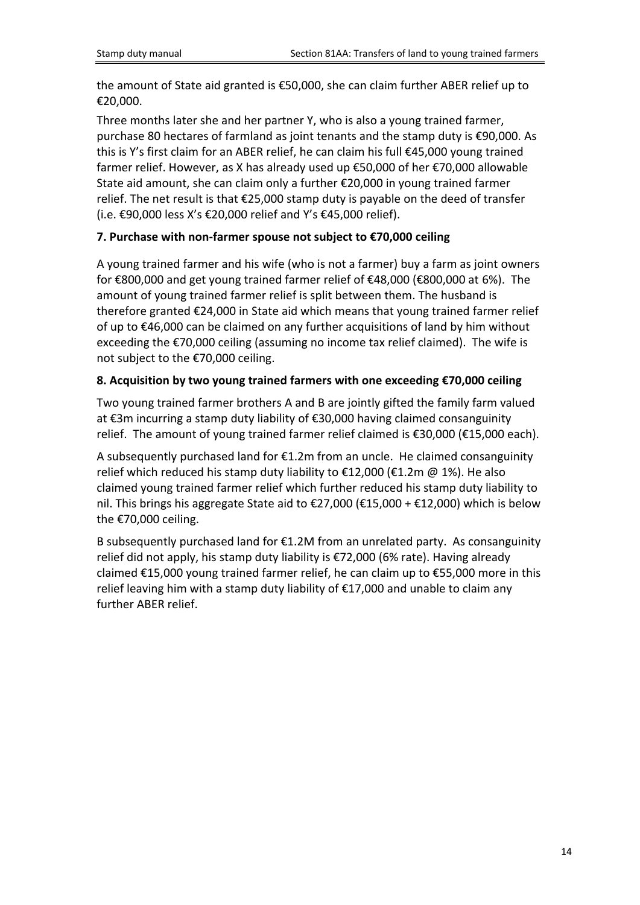the amount of State aid granted is €50,000, she can claim further ABER relief up to €20,000.

Three months later she and her partner Y, who is also a young trained farmer, purchase 80 hectares of farmland as joint tenants and the stamp duty is €90,000. As this is Y's first claim for an ABER relief, he can claim his full €45,000 young trained farmer relief. However, as X has already used up €50,000 of her €70,000 allowable State aid amount, she can claim only a further €20,000 in young trained farmer relief. The net result is that €25,000 stamp duty is payable on the deed of transfer (i.e. €90,000 less X's €20,000 relief and Y's €45,000 relief).

### **7. Purchase with non-farmer spouse not subject to €70,000 ceiling**

A young trained farmer and his wife (who is not a farmer) buy a farm as joint owners for €800,000 and get young trained farmer relief of €48,000 (€800,000 at 6%). The amount of young trained farmer relief is split between them. The husband is therefore granted €24,000 in State aid which means that young trained farmer relief of up to €46,000 can be claimed on any further acquisitions of land by him without exceeding the €70,000 ceiling (assuming no income tax relief claimed). The wife is not subject to the €70,000 ceiling.

### **8. Acquisition by two young trained farmers with one exceeding €70,000 ceiling**

Two young trained farmer brothers A and B are jointly gifted the family farm valued at €3m incurring a stamp duty liability of €30,000 having claimed consanguinity relief. The amount of young trained farmer relief claimed is €30,000 (€15,000 each).

A subsequently purchased land for €1.2m from an uncle. He claimed consanguinity relief which reduced his stamp duty liability to €12,000 (€1.2m @ 1%). He also claimed young trained farmer relief which further reduced his stamp duty liability to nil. This brings his aggregate State aid to €27,000 (€15,000 + €12,000) which is below the €70,000 ceiling.

B subsequently purchased land for  $E1.2M$  from an unrelated party. As consanguinity relief did not apply, his stamp duty liability is €72,000 (6% rate). Having already claimed €15,000 young trained farmer relief, he can claim up to €55,000 more in this relief leaving him with a stamp duty liability of €17,000 and unable to claim any further ABER relief.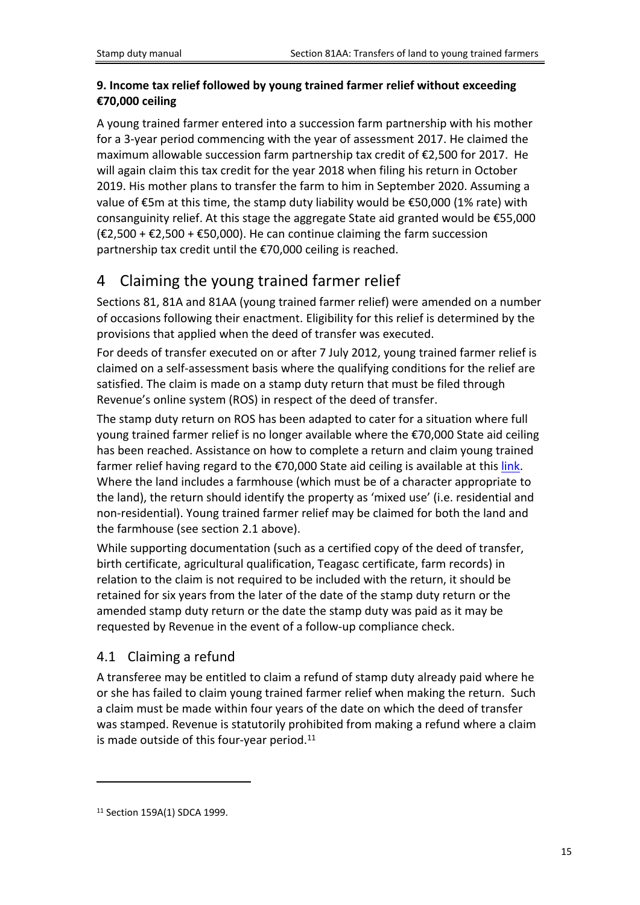### **9. Income tax relief followed by young trained farmer relief without exceeding €70,000 ceiling**

A young trained farmer entered into a succession farm partnership with his mother for a 3-year period commencing with the year of assessment 2017. He claimed the maximum allowable succession farm partnership tax credit of €2,500 for 2017. He will again claim this tax credit for the year 2018 when filing his return in October 2019. His mother plans to transfer the farm to him in September 2020. Assuming a value of €5m at this time, the stamp duty liability would be  $€50,000$  (1% rate) with consanguinity relief. At this stage the aggregate State aid granted would be €55,000 (€2,500 + €2,500 + €50,000). He can continue claiming the farm succession partnership tax credit until the €70,000 ceiling is reached.

# <span id="page-14-0"></span>4 Claiming the young trained farmer relief

Sections 81, 81A and 81AA (young trained farmer relief) were amended on a number of occasions following their enactment. Eligibility for this relief is determined by the provisions that applied when the deed of transfer was executed.

For deeds of transfer executed on or after 7 July 2012, young trained farmer relief is claimed on a self-assessment basis where the qualifying conditions for the relief are satisfied. The claim is made on a stamp duty return that must be filed through Revenue's online system (ROS) in respect of the deed of transfer.

The stamp duty return on ROS has been adapted to cater for a situation where full young trained farmer relief is no longer available where the €70,000 State aid ceiling has been reached. Assistance on how to complete a return and claim young trained farmer relief having regard to the  $\epsilon$ 70,000 State aid ceiling is available at this [link.](https://www.revenue.ie/en/online-services/support/documents/help-guides/stamp-duty/completing-stamp-duty-return-online.pdf) Where the land includes a farmhouse (which must be of a character appropriate to the land), the return should identify the property as 'mixed use' (i.e. residential and non-residential). Young trained farmer relief may be claimed for both the land and the farmhouse (see section 2.1 above).

While supporting documentation (such as a certified copy of the deed of transfer, birth certificate, agricultural qualification, Teagasc certificate, farm records) in relation to the claim is not required to be included with the return, it should be retained for six years from the later of the date of the stamp duty return or the amended stamp duty return or the date the stamp duty was paid as it may be requested by Revenue in the event of a follow-up compliance check.

## <span id="page-14-1"></span>4.1 Claiming a refund

A transferee may be entitled to claim a refund of stamp duty already paid where he or she has failed to claim young trained farmer relief when making the return. Such a claim must be made within four years of the date on which the deed of transfer was stamped. Revenue is statutorily prohibited from making a refund where a claim is made outside of this four-year period.<sup>11</sup>

<sup>11</sup> Section 159A(1) SDCA 1999.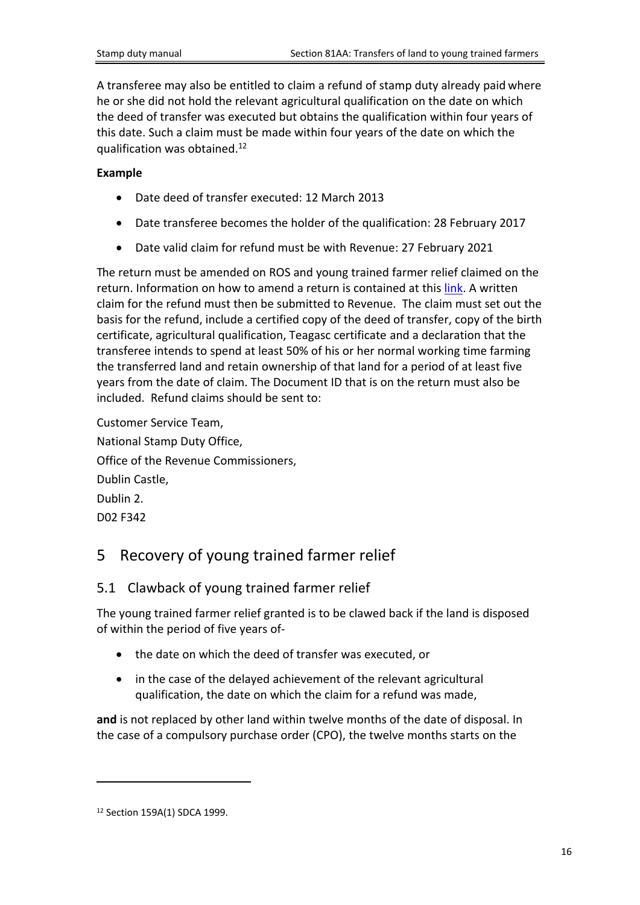A transferee may also be entitled to claim a refund of stamp duty already paid where he or she did not hold the relevant agricultural qualification on the date on which the deed of transfer was executed but obtains the qualification within four years of this date. Such a claim must be made within four years of the date on which the qualification was obtained.<sup>12</sup>

#### **Example**

- Date deed of transfer executed: 12 March 2013
- Date transferee becomes the holder of the qualification: 28 February 2017
- Date valid claim for refund must be with Revenue: 27 February 2021

The return must be amended on ROS and young trained farmer relief claimed on the return. Information on how to amend a return is contained at this [link.](https://www.revenue.ie/en/online-services/support/documents/help-guides/stamp-duty/amend-stamp-duty-return-ros.pdf) A written claim for the refund must then be submitted to Revenue. The claim must set out the basis for the refund, include a certified copy of the deed of transfer, copy of the birth certificate, agricultural qualification, Teagasc certificate and a declaration that the transferee intends to spend at least 50% of his or her normal working time farming the transferred land and retain ownership of that land for a period of at least five years from the date of claim. The Document ID that is on the return must also be included. Refund claims should be sent to:

Customer Service Team, National Stamp Duty Office, Office of the Revenue Commissioners, Dublin Castle, Dublin 2. D02 F342

## <span id="page-15-0"></span>5 Recovery of young trained farmer relief

### <span id="page-15-1"></span>5.1 Clawback of young trained farmer relief

The young trained farmer relief granted is to be clawed back if the land is disposed of within the period of five years of-

- the date on which the deed of transfer was executed, or
- in the case of the delayed achievement of the relevant agricultural qualification, the date on which the claim for a refund was made,

**and** is not replaced by other land within twelve months of the date of disposal. In the case of a compulsory purchase order (CPO), the twelve months starts on the

<sup>12</sup> Section 159A(1) SDCA 1999.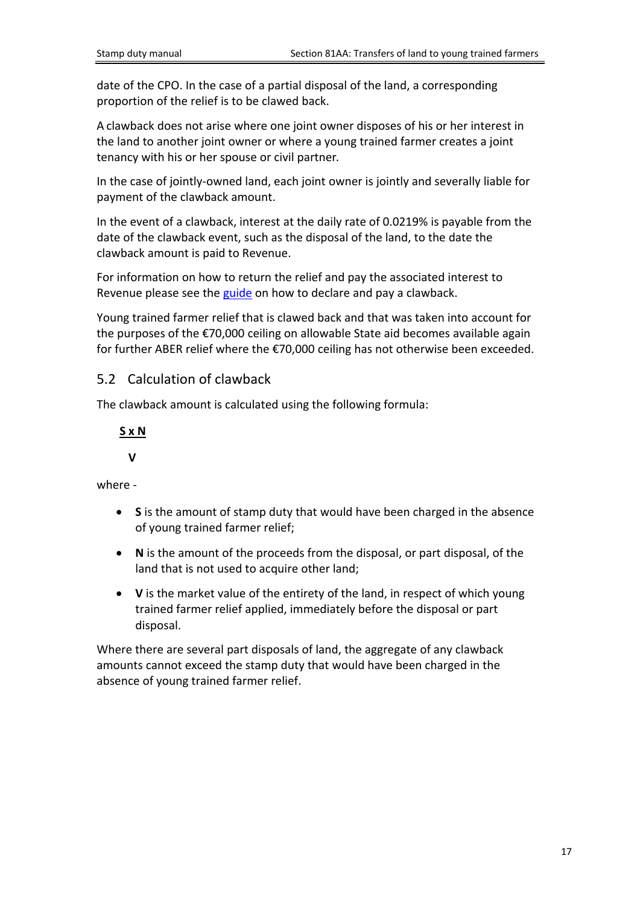date of the CPO. In the case of a partial disposal of the land, a corresponding proportion of the relief is to be clawed back.

A clawback does not arise where one joint owner disposes of his or her interest in the land to another joint owner or where a young trained farmer creates a joint tenancy with his or her spouse or civil partner.

In the case of jointly-owned land, each joint owner is jointly and severally liable for payment of the clawback amount.

In the event of a clawback, interest at the daily rate of 0.0219% is payable from the date of the clawback event, such as the disposal of the land, to the date the clawback amount is paid to Revenue.

For information on how to return the relief and pay the associated interest to Revenue please see the [guide](https://www.revenue.ie/en/online-services/support/documents/help-guides/stamp-duty/declare-and-pay-a-clawback-of-stamp-duty-on-ros.pdf) on how to declare and pay a clawback.

Young trained farmer relief that is clawed back and that was taken into account for the purposes of the €70,000 ceiling on allowable State aid becomes available again for further ABER relief where the €70,000 ceiling has not otherwise been exceeded.

### <span id="page-16-0"></span>5.2 Calculation of clawback

The clawback amount is calculated using the following formula:

### **S x N**

### **V**

where -

- **S** is the amount of stamp duty that would have been charged in the absence of young trained farmer relief;
- **N** is the amount of the proceeds from the disposal, or part disposal, of the land that is not used to acquire other land;
- **V** is the market value of the entirety of the land, in respect of which young trained farmer relief applied, immediately before the disposal or part disposal.

Where there are several part disposals of land, the aggregate of any clawback amounts cannot exceed the stamp duty that would have been charged in the absence of young trained farmer relief.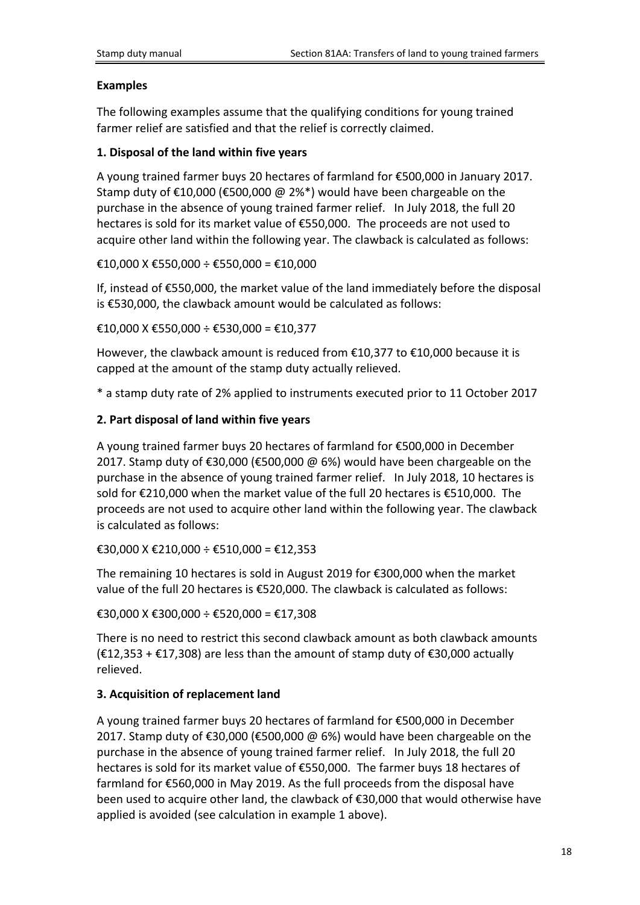#### **Examples**

The following examples assume that the qualifying conditions for young trained farmer relief are satisfied and that the relief is correctly claimed.

#### **1. Disposal of the land within five years**

A young trained farmer buys 20 hectares of farmland for €500,000 in January 2017. Stamp duty of €10,000 (€500,000 @ 2%\*) would have been chargeable on the purchase in the absence of young trained farmer relief. In July 2018, the full 20 hectares is sold for its market value of €550,000. The proceeds are not used to acquire other land within the following year. The clawback is calculated as follows:

€10,000 X €550,000 ÷ €550,000 = €10,000

If, instead of €550,000, the market value of the land immediately before the disposal is €530,000, the clawback amount would be calculated as follows:

€10,000 X €550,000 ÷ €530,000 = €10,377

However, the clawback amount is reduced from  $£10,377$  to  $£10,000$  because it is capped at the amount of the stamp duty actually relieved.

\* a stamp duty rate of 2% applied to instruments executed prior to 11 October 2017

#### **2. Part disposal of land within five years**

A young trained farmer buys 20 hectares of farmland for €500,000 in December 2017. Stamp duty of €30,000 (€500,000 @ 6%) would have been chargeable on the purchase in the absence of young trained farmer relief. In July 2018, 10 hectares is sold for €210,000 when the market value of the full 20 hectares is €510,000. The proceeds are not used to acquire other land within the following year. The clawback is calculated as follows:

€30,000 X €210,000 ÷ €510,000 = €12,353

The remaining 10 hectares is sold in August 2019 for €300,000 when the market value of the full 20 hectares is €520,000. The clawback is calculated as follows:

€30,000 X €300,000 ÷ €520,000 = €17,308

There is no need to restrict this second clawback amount as both clawback amounts  $(E12,353 + E17,308)$  are less than the amount of stamp duty of €30,000 actually relieved.

### **3. Acquisition of replacement land**

A young trained farmer buys 20 hectares of farmland for €500,000 in December 2017. Stamp duty of €30,000 (€500,000 @ 6%) would have been chargeable on the purchase in the absence of young trained farmer relief. In July 2018, the full 20 hectares is sold for its market value of €550,000. The farmer buys 18 hectares of farmland for €560,000 in May 2019. As the full proceeds from the disposal have been used to acquire other land, the clawback of €30,000 that would otherwise have applied is avoided (see calculation in example 1 above).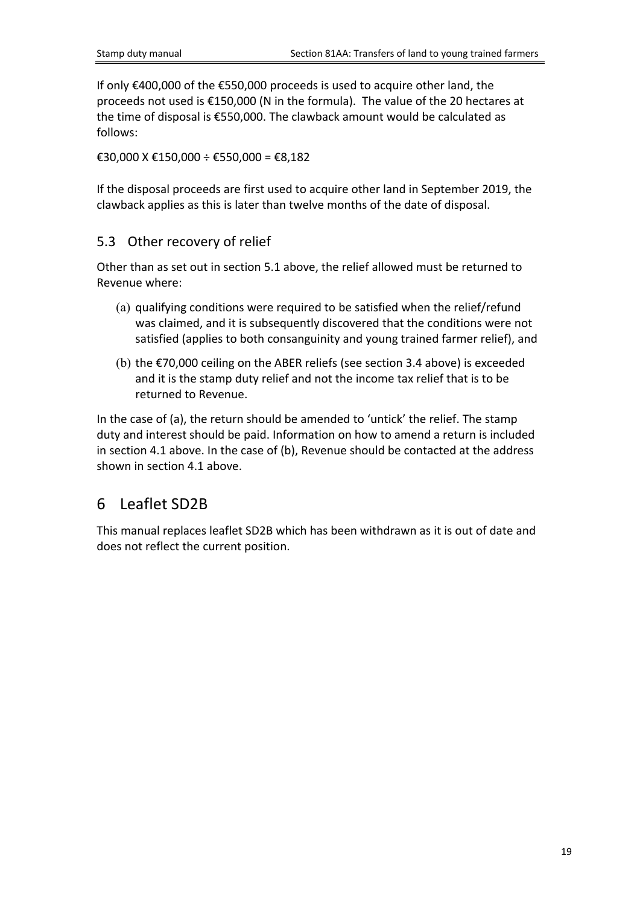If only €400,000 of the €550,000 proceeds is used to acquire other land, the proceeds not used is €150,000 (N in the formula). The value of the 20 hectares at the time of disposal is €550,000. The clawback amount would be calculated as follows:

€30,000 X €150,000 ÷ €550,000 = €8,182

If the disposal proceeds are first used to acquire other land in September 2019, the clawback applies as this is later than twelve months of the date of disposal.

### <span id="page-18-0"></span>5.3 Other recovery of relief

Other than as set out in section 5.1 above, the relief allowed must be returned to Revenue where:

- (a) qualifying conditions were required to be satisfied when the relief/refund was claimed, and it is subsequently discovered that the conditions were not satisfied (applies to both consanguinity and young trained farmer relief), and
- (b) the €70,000 ceiling on the ABER reliefs (see section 3.4 above) is exceeded and it is the stamp duty relief and not the income tax relief that is to be returned to Revenue.

In the case of (a), the return should be amended to 'untick' the relief. The stamp duty and interest should be paid. Information on how to amend a return is included in section 4.1 above. In the case of (b), Revenue should be contacted at the address shown in section 4.1 above.

## <span id="page-18-1"></span>6 Leaflet SD2B

<span id="page-18-2"></span>This manual replaces leaflet SD2B which has been withdrawn as it is out of date and does not reflect the current position.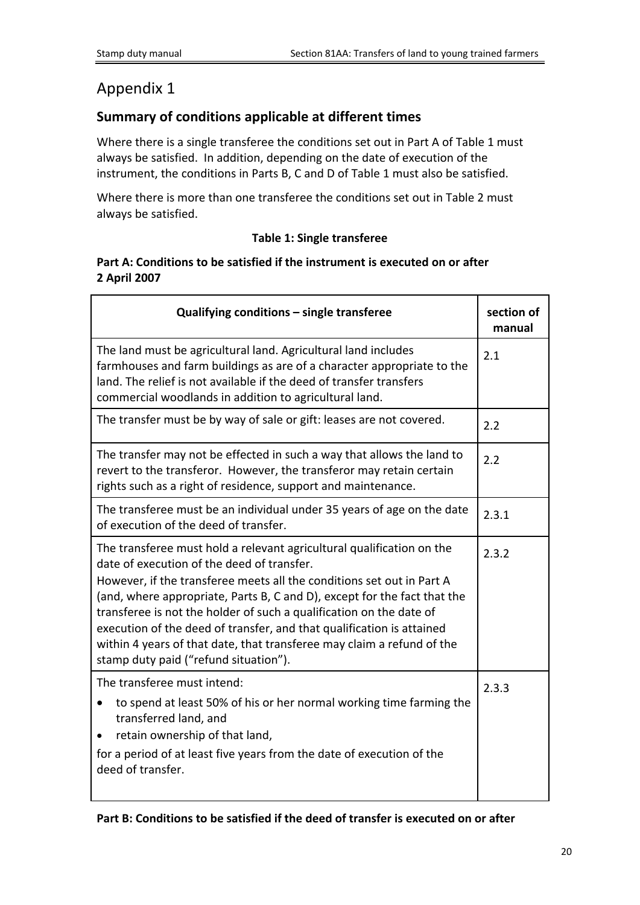## <span id="page-19-0"></span>Appendix 1

## **Summary of conditions applicable at different times**

Where there is a single transferee the conditions set out in Part A of Table 1 must always be satisfied. In addition, depending on the date of execution of the instrument, the conditions in Parts B, C and D of Table 1 must also be satisfied.

Where there is more than one transferee the conditions set out in Table 2 must always be satisfied.

### **Table 1: Single transferee**

#### **Part A: Conditions to be satisfied if the instrument is executed on or after 2 April 2007**

| Qualifying conditions - single transferee                                                                                                                                                                                                                                                                                                                                                                                                                                                                                                   | section of<br>manual |
|---------------------------------------------------------------------------------------------------------------------------------------------------------------------------------------------------------------------------------------------------------------------------------------------------------------------------------------------------------------------------------------------------------------------------------------------------------------------------------------------------------------------------------------------|----------------------|
| The land must be agricultural land. Agricultural land includes<br>farmhouses and farm buildings as are of a character appropriate to the<br>land. The relief is not available if the deed of transfer transfers<br>commercial woodlands in addition to agricultural land.                                                                                                                                                                                                                                                                   | 2.1                  |
| The transfer must be by way of sale or gift: leases are not covered.                                                                                                                                                                                                                                                                                                                                                                                                                                                                        | 2.2                  |
| The transfer may not be effected in such a way that allows the land to<br>revert to the transferor. However, the transferor may retain certain<br>rights such as a right of residence, support and maintenance.                                                                                                                                                                                                                                                                                                                             | 2.2                  |
| The transferee must be an individual under 35 years of age on the date<br>of execution of the deed of transfer.                                                                                                                                                                                                                                                                                                                                                                                                                             | 2.3.1                |
| The transferee must hold a relevant agricultural qualification on the<br>date of execution of the deed of transfer.<br>However, if the transferee meets all the conditions set out in Part A<br>(and, where appropriate, Parts B, C and D), except for the fact that the<br>transferee is not the holder of such a qualification on the date of<br>execution of the deed of transfer, and that qualification is attained<br>within 4 years of that date, that transferee may claim a refund of the<br>stamp duty paid ("refund situation"). | 2.3.2                |
| The transferee must intend:<br>to spend at least 50% of his or her normal working time farming the<br>transferred land, and<br>retain ownership of that land,<br>for a period of at least five years from the date of execution of the<br>deed of transfer.                                                                                                                                                                                                                                                                                 | 2.3.3                |

**Part B: Conditions to be satisfied if the deed of transfer is executed on or after**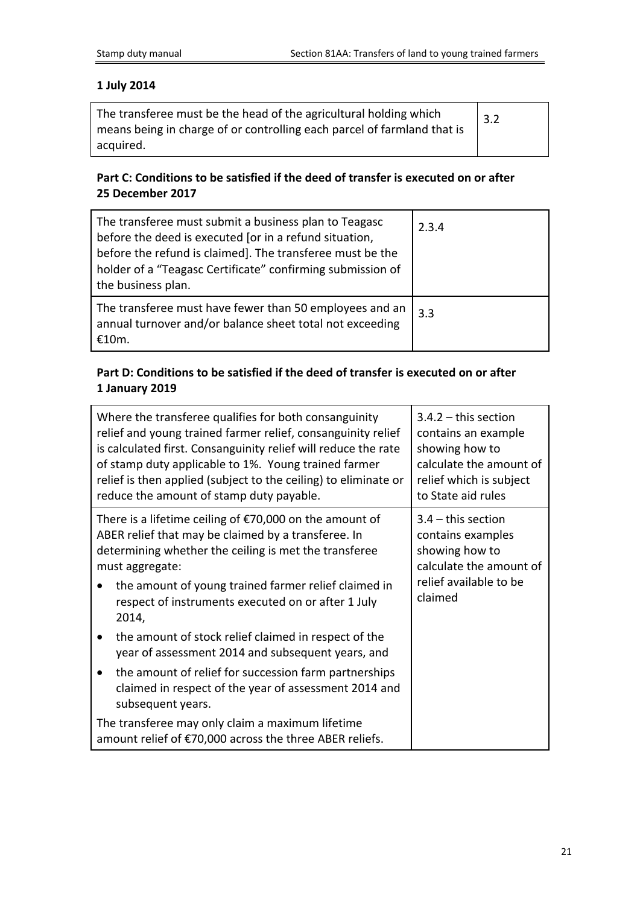### **1 July 2014**

| The transferee must be the head of the agricultural holding which<br>means being in charge of or controlling each parcel of farmland that is | 3.2 |
|----------------------------------------------------------------------------------------------------------------------------------------------|-----|
| acquired.                                                                                                                                    |     |

### **Part C: Conditions to be satisfied if the deed of transfer is executed on or after 25 December 2017**

| The transferee must submit a business plan to Teagasc<br>before the deed is executed [or in a refund situation,<br>before the refund is claimed]. The transferee must be the<br>holder of a "Teagasc Certificate" confirming submission of<br>the business plan. | 2.3.4 |
|------------------------------------------------------------------------------------------------------------------------------------------------------------------------------------------------------------------------------------------------------------------|-------|
| The transferee must have fewer than 50 employees and an<br>annual turnover and/or balance sheet total not exceeding<br>£10m.                                                                                                                                     | 3.3   |

### **Part D: Conditions to be satisfied if the deed of transfer is executed on or after 1 January 2019**

| Where the transferee qualifies for both consanguinity<br>relief and young trained farmer relief, consanguinity relief<br>is calculated first. Consanguinity relief will reduce the rate<br>of stamp duty applicable to 1%. Young trained farmer<br>relief is then applied (subject to the ceiling) to eliminate or<br>reduce the amount of stamp duty payable. | $3.4.2 -$ this section<br>contains an example<br>showing how to<br>calculate the amount of<br>relief which is subject<br>to State aid rules |
|----------------------------------------------------------------------------------------------------------------------------------------------------------------------------------------------------------------------------------------------------------------------------------------------------------------------------------------------------------------|---------------------------------------------------------------------------------------------------------------------------------------------|
| There is a lifetime ceiling of $\epsilon$ 70,000 on the amount of<br>ABER relief that may be claimed by a transferee. In<br>determining whether the ceiling is met the transferee<br>must aggregate:<br>the amount of young trained farmer relief claimed in<br>$\bullet$<br>respect of instruments executed on or after 1 July<br>2014,                       | $3.4$ – this section<br>contains examples<br>showing how to<br>calculate the amount of<br>relief available to be<br>claimed                 |
| the amount of stock relief claimed in respect of the<br>$\bullet$<br>year of assessment 2014 and subsequent years, and                                                                                                                                                                                                                                         |                                                                                                                                             |
| the amount of relief for succession farm partnerships<br>claimed in respect of the year of assessment 2014 and<br>subsequent years.                                                                                                                                                                                                                            |                                                                                                                                             |
| The transferee may only claim a maximum lifetime<br>amount relief of €70,000 across the three ABER reliefs.                                                                                                                                                                                                                                                    |                                                                                                                                             |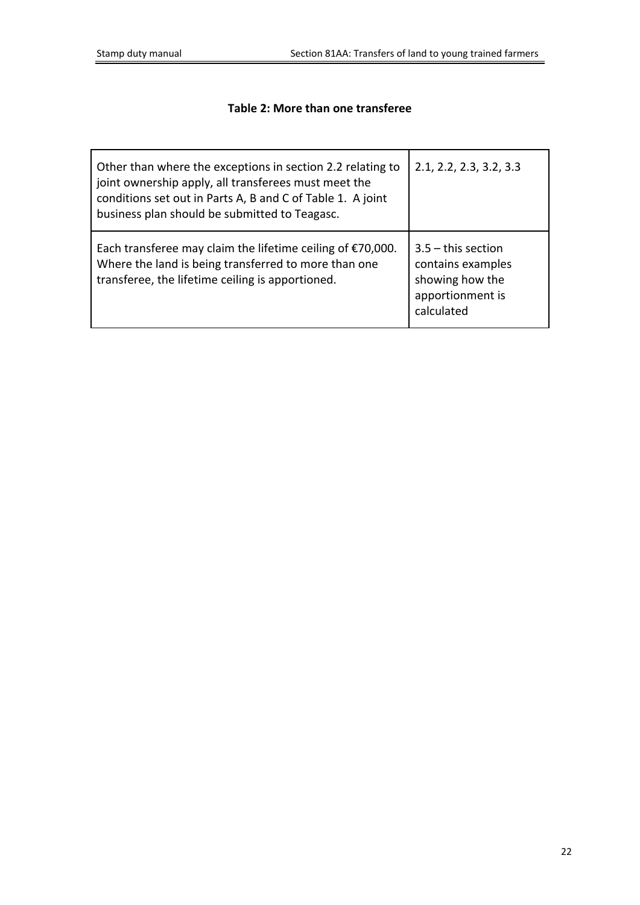### **Table 2: More than one transferee**

| Other than where the exceptions in section 2.2 relating to<br>joint ownership apply, all transferees must meet the<br>conditions set out in Parts A, B and C of Table 1. A joint<br>business plan should be submitted to Teagasc. | 2.1, 2.2, 2.3, 3.2, 3.3                                                                        |
|-----------------------------------------------------------------------------------------------------------------------------------------------------------------------------------------------------------------------------------|------------------------------------------------------------------------------------------------|
| Each transferee may claim the lifetime ceiling of $\epsilon$ 70,000.<br>Where the land is being transferred to more than one<br>transferee, the lifetime ceiling is apportioned.                                                  | $3.5 -$ this section<br>contains examples<br>showing how the<br>apportionment is<br>calculated |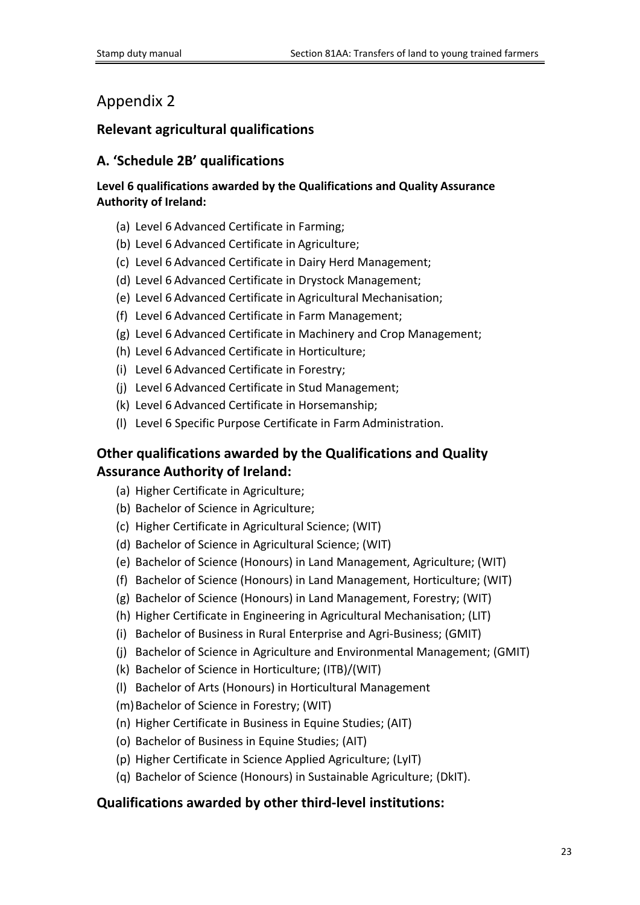## <span id="page-22-0"></span>Appendix 2

### **Relevant agricultural qualifications**

### **A. 'Schedule 2B' qualifications**

### **Level 6 qualifications awarded by the Qualifications and Quality Assurance Authority of Ireland:**

- (a) Level 6 Advanced Certificate in Farming;
- (b) Level 6 Advanced Certificate in Agriculture;
- (c) Level 6 Advanced Certificate in Dairy Herd Management;
- (d) Level 6 Advanced Certificate in Drystock Management;
- (e) Level 6 Advanced Certificate in Agricultural Mechanisation;
- (f) Level 6 Advanced Certificate in Farm Management;
- (g) Level 6 Advanced Certificate in Machinery and Crop Management;
- (h) Level 6 Advanced Certificate in Horticulture;
- (i) Level 6 Advanced Certificate in Forestry;
- (j) Level 6 Advanced Certificate in Stud Management;
- (k) Level 6 Advanced Certificate in Horsemanship;
- (l) Level 6 Specific Purpose Certificate in Farm Administration.

## **Other qualifications awarded by the Qualifications and Quality Assurance Authority of Ireland:**

- (a) Higher Certificate in Agriculture;
- (b) Bachelor of Science in Agriculture;
- (c) Higher Certificate in Agricultural Science; (WIT)
- (d) Bachelor of Science in Agricultural Science; (WIT)
- (e) Bachelor of Science (Honours) in Land Management, Agriculture; (WIT)
- (f) Bachelor of Science (Honours) in Land Management, Horticulture; (WIT)
- (g) Bachelor of Science (Honours) in Land Management, Forestry; (WIT)
- (h) Higher Certificate in Engineering in Agricultural Mechanisation; (LIT)
- (i) Bachelor of Business in Rural Enterprise and Agri-Business; (GMIT)
- (j) Bachelor of Science in Agriculture and Environmental Management; (GMIT)
- (k) Bachelor of Science in Horticulture; (ITB)/(WIT)
- (l) Bachelor of Arts (Honours) in Horticultural Management
- (m)Bachelor of Science in Forestry; (WIT)
- (n) Higher Certificate in Business in Equine Studies; (AIT)
- (o) Bachelor of Business in Equine Studies; (AIT)
- (p) Higher Certificate in Science Applied Agriculture; (LyIT)
- (q) Bachelor of Science (Honours) in Sustainable Agriculture; (DkIT).

### **Qualifications awarded by other third-level institutions:**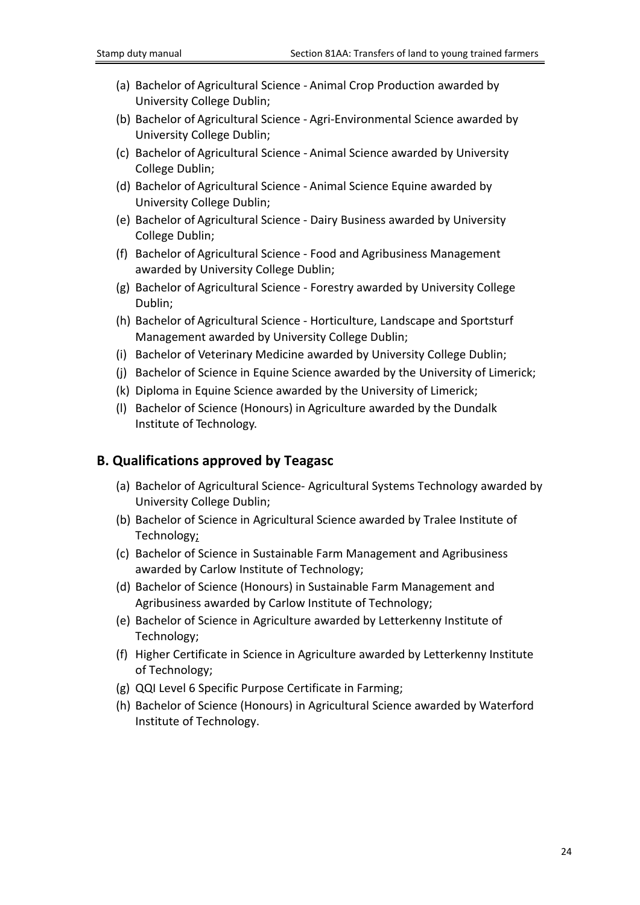- (a) Bachelor of Agricultural Science Animal Crop Production awarded by University College Dublin;
- (b) Bachelor of Agricultural Science Agri-Environmental Science awarded by University College Dublin;
- (c) Bachelor of Agricultural Science Animal Science awarded by University College Dublin;
- (d) Bachelor of Agricultural Science Animal Science Equine awarded by University College Dublin;
- (e) Bachelor of Agricultural Science Dairy Business awarded by University College Dublin;
- (f) Bachelor of Agricultural Science Food and Agribusiness Management awarded by University College Dublin;
- (g) Bachelor of Agricultural Science Forestry awarded by University College Dublin;
- (h) Bachelor of Agricultural Science Horticulture, Landscape and Sportsturf Management awarded by University College Dublin;
- (i) Bachelor of Veterinary Medicine awarded by University College Dublin;
- (j) Bachelor of Science in Equine Science awarded by the University of Limerick;
- (k) Diploma in Equine Science awarded by the University of Limerick;
- (l) Bachelor of Science (Honours) in Agriculture awarded by the Dundalk Institute of Technology.

## **B. Qualifications approved by Teagasc**

- (a) Bachelor of Agricultural Science- Agricultural Systems Technology awarded by University College Dublin;
- (b) Bachelor of Science in Agricultural Science awarded by Tralee Institute of Technology;
- (c) Bachelor of Science in Sustainable Farm Management and Agribusiness awarded by Carlow Institute of Technology;
- (d) Bachelor of Science (Honours) in Sustainable Farm Management and Agribusiness awarded by Carlow Institute of Technology;
- (e) Bachelor of Science in Agriculture awarded by Letterkenny Institute of Technology;
- (f) Higher Certificate in Science in Agriculture awarded by Letterkenny Institute of Technology;
- (g) QQI Level 6 Specific Purpose Certificate in Farming;
- (h) Bachelor of Science (Honours) in Agricultural Science awarded by Waterford Institute of Technology.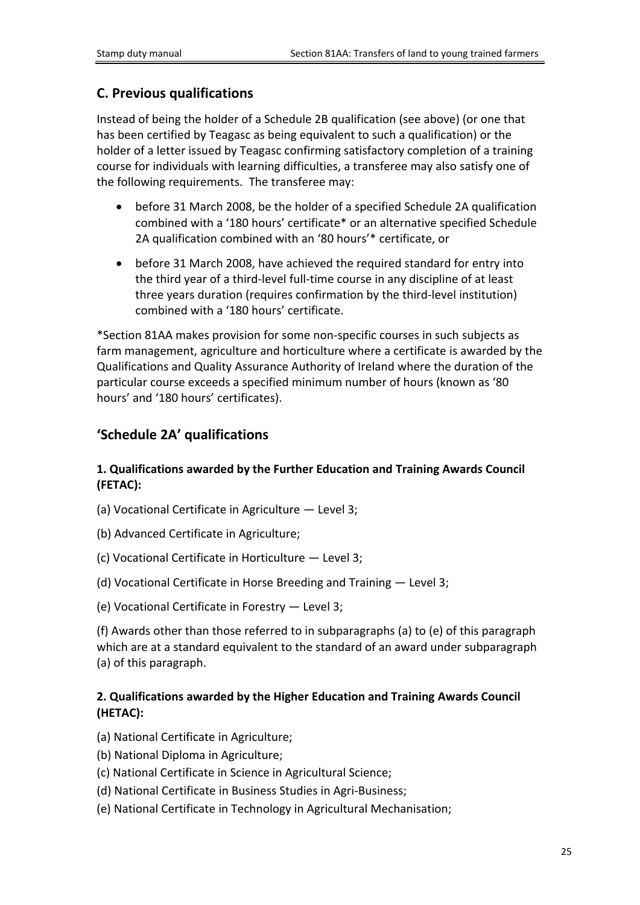### **C. Previous qualifications**

Instead of being the holder of a Schedule 2B qualification (see above) (or one that has been certified by Teagasc as being equivalent to such a qualification) or the holder of a letter issued by Teagasc confirming satisfactory completion of a training course for individuals with learning difficulties, a transferee may also satisfy one of the following requirements. The transferee may:

- before 31 March 2008, be the holder of a specified Schedule 2A qualification combined with a '180 hours' certificate\* or an alternative specified Schedule 2A qualification combined with an '80 hours'\* certificate, or
- before 31 March 2008, have achieved the required standard for entry into the third year of a third-level full-time course in any discipline of at least three years duration (requires confirmation by the third-level institution) combined with a '180 hours' certificate.

\*Section 81AA makes provision for some non-specific courses in such subjects as farm management, agriculture and horticulture where a certificate is awarded by the Qualifications and Quality Assurance Authority of Ireland where the duration of the particular course exceeds a specified minimum number of hours (known as '80 hours' and '180 hours' certificates).

## **'Schedule 2A' qualifications**

### **1. Qualifications awarded by the Further Education and Training Awards Council (FETAC):**

- (a) Vocational Certificate in Agriculture Level 3;
- (b) Advanced Certificate in Agriculture;
- (c) Vocational Certificate in Horticulture Level 3;
- (d) Vocational Certificate in Horse Breeding and Training Level 3;
- (e) Vocational Certificate in Forestry Level 3;

(f) Awards other than those referred to in subparagraphs (a) to (e) of this paragraph which are at a standard equivalent to the standard of an award under subparagraph (a) of this paragraph.

### **2. Qualifications awarded by the Higher Education and Training Awards Council (HETAC):**

- (a) National Certificate in Agriculture;
- (b) National Diploma in Agriculture;
- (c) National Certificate in Science in Agricultural Science;
- (d) National Certificate in Business Studies in Agri-Business;
- (e) National Certificate in Technology in Agricultural Mechanisation;